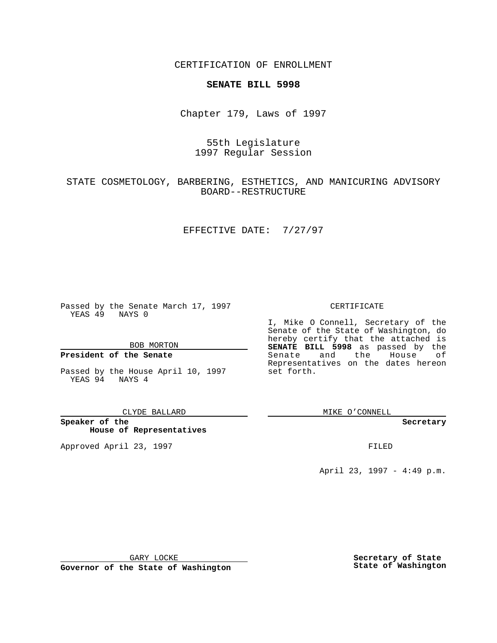CERTIFICATION OF ENROLLMENT

# **SENATE BILL 5998**

Chapter 179, Laws of 1997

# 55th Legislature 1997 Regular Session

STATE COSMETOLOGY, BARBERING, ESTHETICS, AND MANICURING ADVISORY BOARD--RESTRUCTURE

### EFFECTIVE DATE: 7/27/97

Passed by the Senate March 17, 1997 YEAS 49 NAYS 0

BOB MORTON

### **President of the Senate**

Passed by the House April 10, 1997 YEAS 94 NAYS 4

CLYDE BALLARD

**Speaker of the House of Representatives**

Approved April 23, 1997 **FILED** 

### CERTIFICATE

I, Mike O Connell, Secretary of the Senate of the State of Washington, do hereby certify that the attached is **SENATE BILL 5998** as passed by the Senate and the House of Representatives on the dates hereon set forth.

MIKE O'CONNELL

#### **Secretary**

April 23, 1997 - 4:49 p.m.

GARY LOCKE

**Governor of the State of Washington**

**Secretary of State State of Washington**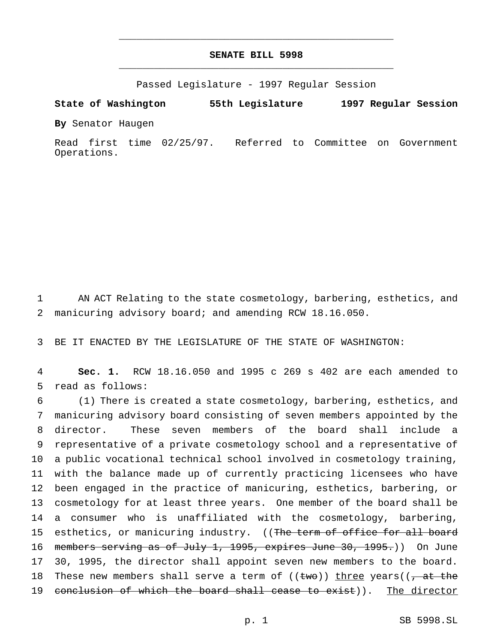## **SENATE BILL 5998** \_\_\_\_\_\_\_\_\_\_\_\_\_\_\_\_\_\_\_\_\_\_\_\_\_\_\_\_\_\_\_\_\_\_\_\_\_\_\_\_\_\_\_\_\_\_\_

\_\_\_\_\_\_\_\_\_\_\_\_\_\_\_\_\_\_\_\_\_\_\_\_\_\_\_\_\_\_\_\_\_\_\_\_\_\_\_\_\_\_\_\_\_\_\_

Passed Legislature - 1997 Regular Session

**State of Washington 55th Legislature 1997 Regular Session**

**By** Senator Haugen

Read first time 02/25/97. Referred to Committee on Government Operations.

1 AN ACT Relating to the state cosmetology, barbering, esthetics, and 2 manicuring advisory board; and amending RCW 18.16.050.

3 BE IT ENACTED BY THE LEGISLATURE OF THE STATE OF WASHINGTON:

4 **Sec. 1.** RCW 18.16.050 and 1995 c 269 s 402 are each amended to 5 read as follows:

 (1) There is created a state cosmetology, barbering, esthetics, and manicuring advisory board consisting of seven members appointed by the director. These seven members of the board shall include a representative of a private cosmetology school and a representative of a public vocational technical school involved in cosmetology training, with the balance made up of currently practicing licensees who have been engaged in the practice of manicuring, esthetics, barbering, or cosmetology for at least three years. One member of the board shall be a consumer who is unaffiliated with the cosmetology, barbering, 15 esthetics, or manicuring industry. ((The term of office for all board 16 members serving as of July 1, 1995, expires June 30, 1995.)) On June 30, 1995, the director shall appoint seven new members to the board. 18 These new members shall serve a term of  $((two))$  three years $((\frac{1}{f} + a^2 + b^2))$ 19 conclusion of which the board shall cease to exist)). The director